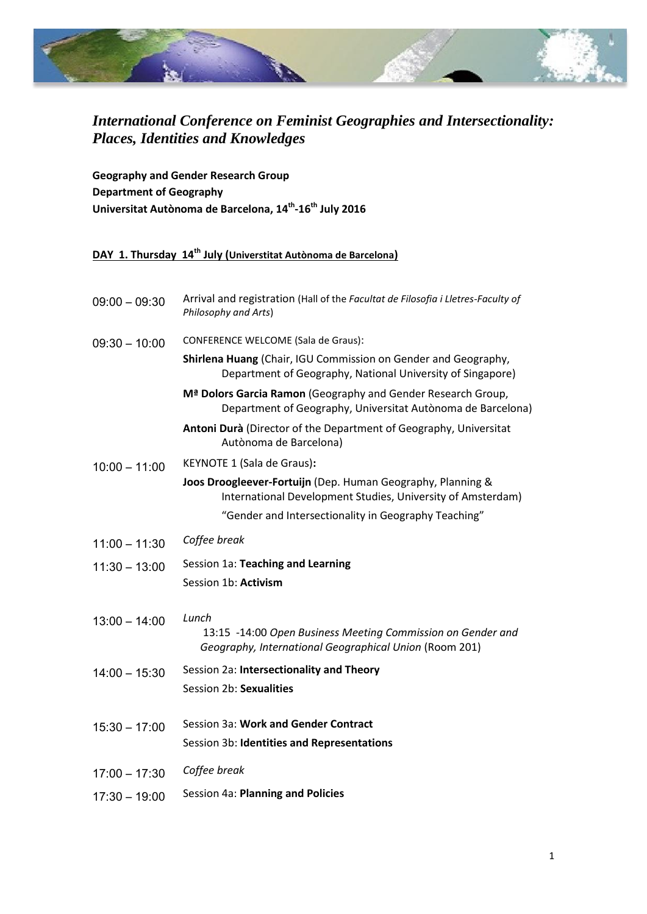

## *International Conference on Feminist Geographies and Intersectionality: Places, Identities and Knowledges*

**Geography and Gender Research Group Department of Geography Universitat Autònoma de Barcelona, 14th -16th July 2016**

## **DAY 1. Thursday 14th July (Universtitat Autònoma de Barcelona)**

| $09:00 - 09:30$ | Arrival and registration (Hall of the Facultat de Filosofia i Lletres-Faculty of<br>Philosophy and Arts)                     |
|-----------------|------------------------------------------------------------------------------------------------------------------------------|
| $09:30 - 10:00$ | CONFERENCE WELCOME (Sala de Graus):                                                                                          |
|                 | Shirlena Huang (Chair, IGU Commission on Gender and Geography,<br>Department of Geography, National University of Singapore) |
|                 | Mª Dolors Garcia Ramon (Geography and Gender Research Group,<br>Department of Geography, Universitat Autònoma de Barcelona)  |
|                 | Antoni Durà (Director of the Department of Geography, Universitat<br>Autònoma de Barcelona)                                  |
| $10:00 - 11:00$ | KEYNOTE 1 (Sala de Graus):                                                                                                   |
|                 | Joos Droogleever-Fortuijn (Dep. Human Geography, Planning &<br>International Development Studies, University of Amsterdam)   |
|                 | "Gender and Intersectionality in Geography Teaching"                                                                         |
| $11:00 - 11:30$ | Coffee break                                                                                                                 |
| $11:30 - 13:00$ | Session 1a: Teaching and Learning                                                                                            |
|                 | Session 1b: Activism                                                                                                         |
| $13:00 - 14:00$ | Lunch                                                                                                                        |
|                 | 13:15 -14:00 Open Business Meeting Commission on Gender and<br>Geography, International Geographical Union (Room 201)        |
| $14:00 - 15:30$ | Session 2a: Intersectionality and Theory                                                                                     |
|                 | Session 2b: Sexualities                                                                                                      |
| $15:30 - 17:00$ | Session 3a: Work and Gender Contract                                                                                         |
|                 | Session 3b: Identities and Representations                                                                                   |
| $17:00 - 17:30$ | Coffee break                                                                                                                 |
| $17:30 - 19:00$ | Session 4a: Planning and Policies                                                                                            |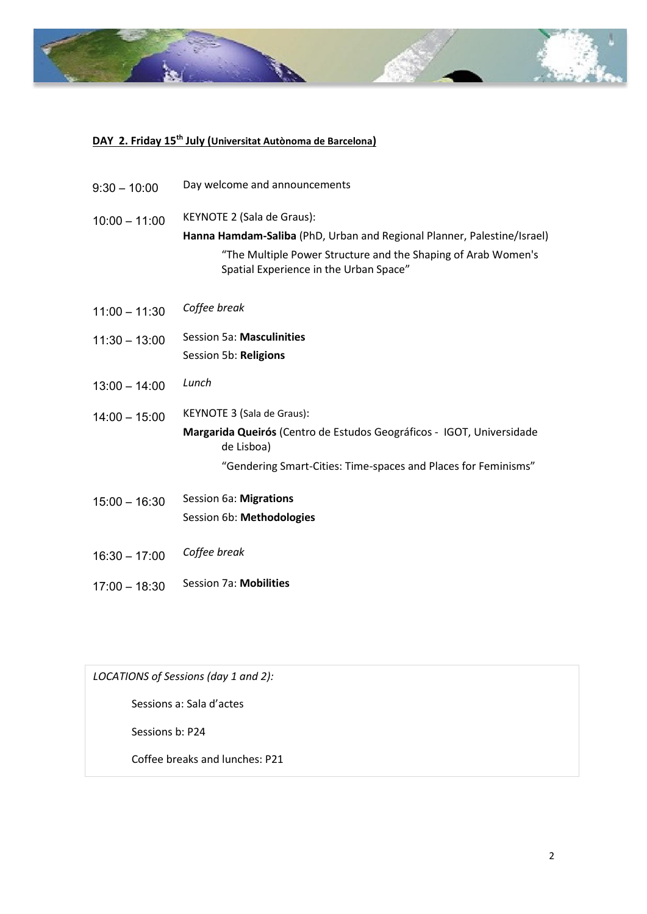

## **DAY 2. Friday 15th July (Universitat Autònoma de Barcelona)**

| $9:30 - 10:00$  | Day welcome and announcements                                                                           |
|-----------------|---------------------------------------------------------------------------------------------------------|
| $10:00 - 11:00$ | KEYNOTE 2 (Sala de Graus):                                                                              |
|                 | Hanna Hamdam-Saliba (PhD, Urban and Regional Planner, Palestine/Israel)                                 |
|                 | "The Multiple Power Structure and the Shaping of Arab Women's<br>Spatial Experience in the Urban Space" |
| $11:00 - 11:30$ | Coffee break                                                                                            |
| $11:30 - 13:00$ | Session 5a: Masculinities                                                                               |
|                 | Session 5b: Religions                                                                                   |
| $13:00 - 14:00$ | Lunch                                                                                                   |
| $14:00 - 15:00$ | KEYNOTE 3 (Sala de Graus):                                                                              |
|                 | Margarida Queirós (Centro de Estudos Geográficos - IGOT, Universidade<br>de Lisboa)                     |
|                 | "Gendering Smart-Cities: Time-spaces and Places for Feminisms"                                          |
| $15:00 - 16:30$ | Session 6a: Migrations                                                                                  |
|                 | Session 6b: Methodologies                                                                               |
| $16:30 - 17:00$ | Coffee break                                                                                            |
| $17:00 - 18:30$ | Session 7a: Mobilities                                                                                  |

*LOCATIONS of Sessions (day 1 and 2):* Sessions a: Sala d'actes Sessions b: P24 Coffee breaks and lunches: P21